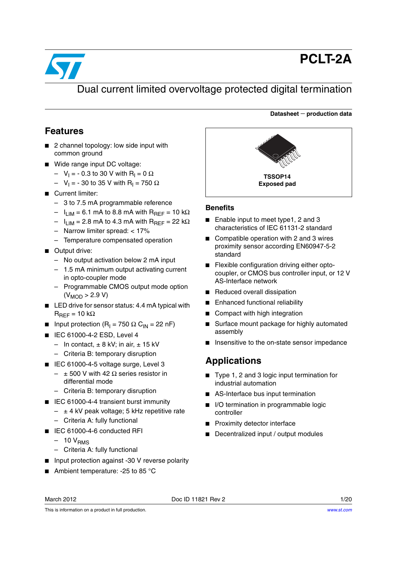

# **PCLT-2A**

**Datasheet** − **production data**

# Dual current limited overvoltage protected digital termination

#### **Features**

- 2 channel topology: low side input with common ground
- Wide range input DC voltage:
	- $-$  V<sub>I</sub> = 0.3 to 30 V with R<sub>I</sub> = 0 Ω
	- $-$  V<sub>I</sub> = 30 to 35 V with R<sub>I</sub> = 750 Ω
- Current limiter:
	- 3 to 7.5 mA programmable reference
	- $I_{LIM}$  = 6.1 mA to 8.8 mA with R<sub>REF</sub> = 10 kΩ
	- $I_{LIM}$  = 2.8 mA to 4.3 mA with R<sub>RFF</sub> = 22 kΩ
	- Narrow limiter spread: < 17%
	- Temperature compensated operation
- Output drive:
	- No output activation below 2 mA input
	- 1.5 mA minimum output activating current in opto-coupler mode
	- Programmable CMOS output mode option  $(V_{MOD} > 2.9 V)$
- LED drive for sensor status: 4.4 mA typical with  $R_{\text{RFF}}$  = 10 kΩ
- Input protection (R<sub>I</sub> = 750 Ω C<sub>IN</sub> = 22 nF)
- IEC 61000-4-2 ESD, Level 4
	- In contact,  $\pm$  8 kV; in air,  $\pm$  15 kV
	- Criteria B: temporary disruption
- IEC 61000-4-5 voltage surge, Level 3  $-$  ± 500 V with 42 Ω series resistor in differential mode
	- Criteria B: temporary disruption
- IEC 61000-4-4 transient burst immunity
	- $\pm$  4 kV peak voltage; 5 kHz repetitive rate
	- Criteria A: fully functional
- IEC 61000-4-6 conducted RFI
	- $-10 V<sub>RMS</sub>$
	- Criteria A: fully functional
- Input protection against -30 V reverse polarity
- Ambient temperature: -25 to 85 °C



#### **Benefits**

- Enable input to meet type1, 2 and 3 characteristics of IEC 61131-2 standard
- Compatible operation with 2 and 3 wires proximity sensor according EN60947-5-2 standard
- Flexible configuration driving either optocoupler, or CMOS bus controller input, or 12 V AS-Interface network
- Reduced overall dissipation
- Enhanced functional reliability
- Compact with high integration
- Surface mount package for highly automated assembly
- Insensitive to the on-state sensor impedance

# **Applications**

- Type 1, 2 and 3 logic input termination for industrial automation
- AS-Interface bus input termination
- I/O termination in programmable logic controller
- Proximity detector interface
- Decentralized input / output modules

March 2012 **Doc ID 11821 Rev 2** 1/20

This is information on a product in full production.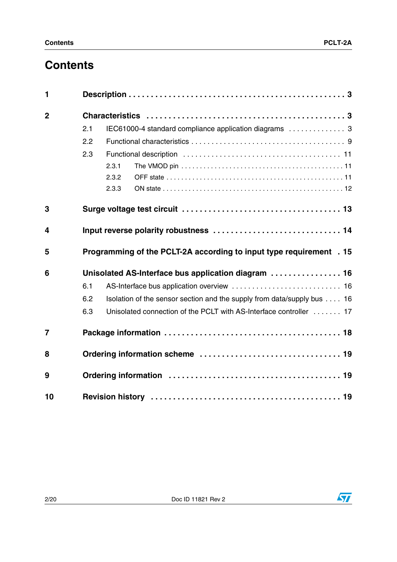# **Contents**

| 1              |     |                                                                         |  |  |
|----------------|-----|-------------------------------------------------------------------------|--|--|
| $\overline{2}$ |     |                                                                         |  |  |
|                | 2.1 | IEC61000-4 standard compliance application diagrams  3                  |  |  |
|                | 2.2 |                                                                         |  |  |
|                | 2.3 |                                                                         |  |  |
|                |     | 2.3.1                                                                   |  |  |
|                |     | 2.3.2                                                                   |  |  |
|                |     | 2.3.3                                                                   |  |  |
| 3              |     |                                                                         |  |  |
| 4              |     |                                                                         |  |  |
| 5              |     | Programming of the PCLT-2A according to input type requirement . 15     |  |  |
| 6              |     | Unisolated AS-Interface bus application diagram  16                     |  |  |
|                | 6.1 |                                                                         |  |  |
|                | 6.2 | Isolation of the sensor section and the supply from data/supply bus  16 |  |  |
|                | 6.3 | Unisolated connection of the PCLT with AS-Interface controller  17      |  |  |
| $\overline{7}$ |     |                                                                         |  |  |
| 8              |     |                                                                         |  |  |
| 9              |     |                                                                         |  |  |
| 10             |     |                                                                         |  |  |

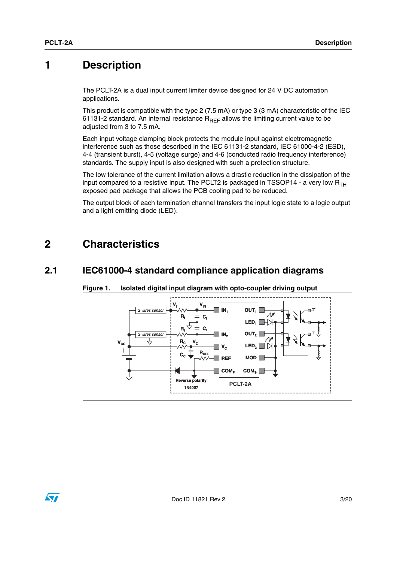# <span id="page-2-0"></span>**1 Description**

The PCLT-2A is a dual input current limiter device designed for 24 V DC automation applications.

This product is compatible with the type 2 (7.5 mA) or type 3 (3 mA) characteristic of the IEC 61131-2 standard. An internal resistance  $R_{REF}$  allows the limiting current value to be adjusted from 3 to 7.5 mA.

Each input voltage clamping block protects the module input against electromagnetic interference such as those described in the IEC 61131-2 standard, IEC 61000-4-2 (ESD), 4-4 (transient burst), 4-5 (voltage surge) and 4-6 (conducted radio frequency interference) standards. The supply input is also designed with such a protection structure.

The low tolerance of the current limitation allows a drastic reduction in the dissipation of the input compared to a resistive input. The PCLT2 is packaged in TSSOP14 - a very low  $R_{TH}$ exposed pad package that allows the PCB cooling pad to be reduced.

The output block of each termination channel transfers the input logic state to a logic output and a light emitting diode (LED).

# <span id="page-2-1"></span>**2 Characteristics**

#### <span id="page-2-2"></span>**2.1 IEC61000-4 standard compliance application diagrams**



#### <span id="page-2-3"></span>**Figure 1. Isolated digital input diagram with opto-coupler driving output**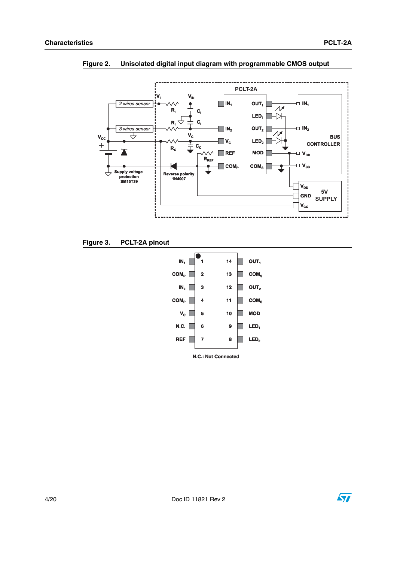

<span id="page-3-0"></span>**Figure 2. Unisolated digital input diagram with programmable CMOS output**





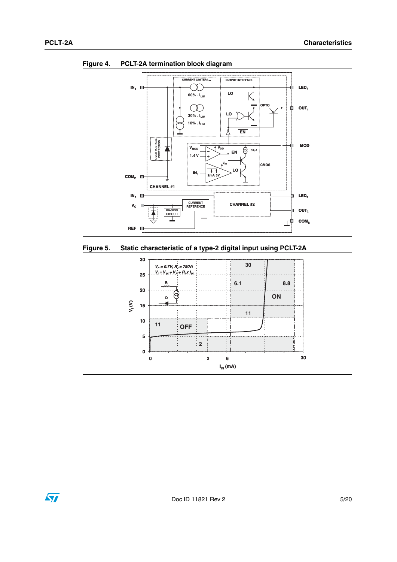







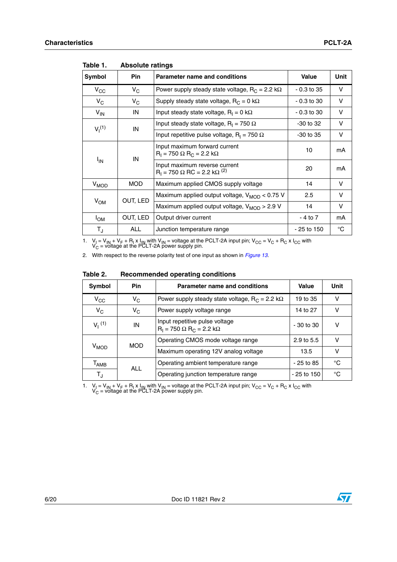| Symbol       | Pin        | <b>Parameter name and conditions</b>                                                   | <b>Value</b>  | Unit        |
|--------------|------------|----------------------------------------------------------------------------------------|---------------|-------------|
| $V_{\rm CC}$ | $V_C$      | Power supply steady state voltage, $R_C = 2.2$ k $\Omega$                              | $-0.3$ to 35  | V           |
| $V_C$        | $V_C$      | Supply steady state voltage, $R_C = 0$ k $\Omega$                                      | $-0.3$ to 30  | v           |
| $V_{IN}$     | IN         | Input steady state voltage, $R_1 = 0 \text{ k}\Omega$                                  | $-0.3$ to 30  | v           |
| $V_1^{(1)}$  | IN         | Input steady state voltage, $R_1 = 750 \Omega$                                         | $-30$ to $32$ | v           |
|              |            | Input repetitive pulse voltage, $R_1 = 750 \Omega$                                     | $-30$ to $35$ | v           |
|              | IN         | Input maximum forward current<br>$R_1 = 750 \Omega R_C = 2.2 k\Omega$                  | 10            | mA          |
|              | $I_{IN}$   | Input maximum reverse current<br>$R_1 = 750 \Omega$ RC = 2.2 k $\Omega$ <sup>(2)</sup> | 20            | mA          |
| $V_{MOD}$    | <b>MOD</b> | Maximum applied CMOS supply voltage                                                    | 14            | V           |
|              | OUT, LED   | Maximum applied output voltage, V <sub>MOD</sub> < 0.75 V                              | 2.5           | V           |
| $V_{OM}$     |            | Maximum applied output voltage, $V_{MOD} > 2.9 V$                                      | 14            | V           |
| $I_{OM}$     | OUT, LED   | Output driver current                                                                  | - 4 to 7      | mA          |
| $T_{\rm J}$  | <b>ALL</b> | Junction temperature range                                                             | $-25$ to 150  | $^{\circ}C$ |

Table 1. **Absolute ratings** 

1.  $V_I = V_{IN} + V_F + R_I \times I_{IN}$  with  $V_{IN} =$  voltage at the PCLT-2A input pin;  $V_{CC} = V_C + R_C \times I_{CC}$  with  $V_C =$  voltage at the PCLT-2A power supply pin.

2. With respect to the reverse polarity test of one input as shown in *[Figure 13](#page-13-1)*.

Table 2. **Table 2. Recommended operating conditions**

| Symbol                      | <b>Pin</b> | Parameter name and conditions                                          | Value         | Unit |
|-----------------------------|------------|------------------------------------------------------------------------|---------------|------|
| $\rm v_{\rm cc}$            | $V_C$      | Power supply steady state voltage, $R_C = 2.2$ k $\Omega$              | 19 to 35      | v    |
| $V_C$                       | $V_C$      | Power supply voltage range                                             | 14 to 27      | ν    |
| $V_1$ <sup>(1)</sup>        | IN         | Input repetitive pulse voltage<br>$R_1 = 750 \Omega R_C = 2.2 k\Omega$ | $-30$ to $30$ | ν    |
|                             | <b>MOD</b> | Operating CMOS mode voltage range                                      | 2.9 to 5.5    | ν    |
| $V_{MOD}$                   |            | Maximum operating 12V analog voltage                                   | 13.5          | v    |
| $\mathsf{T}_{\mathsf{AMB}}$ | <b>ALL</b> | Operating ambient temperature range                                    | $-25$ to 85   | °C   |
| $T_{\sf J}$                 |            | Operating junction temperature range                                   | $-25$ to 150  | °C   |

1.  $V_I = V_{IN} + V_F + R_I \times I_{IN}$  with  $V_{IN} =$  voltage at the PCLT-2A input pin;  $V_{CC} = V_C + R_C \times I_{CC}$  with  $V_C =$  voltage at the PCLT-2A power supply pin.



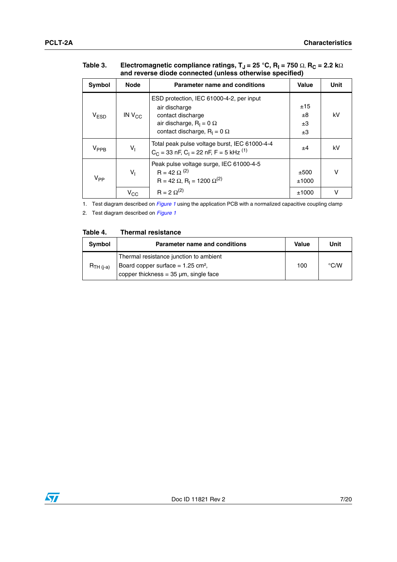| and reverse diode connected (unless otherwise specified) |                 |                                                                                                                                                          |                            |      |  |
|----------------------------------------------------------|-----------------|----------------------------------------------------------------------------------------------------------------------------------------------------------|----------------------------|------|--|
| Symbol                                                   | <b>Node</b>     | <b>Parameter name and conditions</b>                                                                                                                     | <b>Value</b>               | Unit |  |
| V <sub>ESD</sub>                                         | IN $V_{CC}$     | ESD protection, IEC 61000-4-2, per input<br>air discharge<br>contact discharge<br>air discharge, $R_1 = 0 \Omega$<br>contact discharge, $R_1 = 0 \Omega$ | ±15<br>$\pm 8$<br>±3<br>±3 | kV   |  |
| $V_{PPB}$                                                | $V_{\parallel}$ | Total peak pulse voltage burst, IEC 61000-4-4<br>$C_C$ = 33 nF, $C_1$ = 22 nF, F = 5 kHz <sup>(1)</sup>                                                  | ±4                         | kV   |  |
| $V_{PP}$                                                 | $V_{\parallel}$ | Peak pulse voltage surge, IEC 61000-4-5<br>$R = 42 \Omega^{(2)}$<br>$R = 42 \Omega$ , $R_1 = 1200 \Omega^{(2)}$                                          | ±500<br>±1000              | v    |  |
|                                                          | $V_{\rm CC}$    | $R = 2 \Omega^{(2)}$                                                                                                                                     | ±1000                      | v    |  |

#### Table 3. **Table 3.** Electromagnetic compliance ratings, T<sub>J</sub> = 25 °C, R<sub>I</sub> = 750 Ω, R<sub>C</sub> = 2.2 kΩ **and reverse diode connected (unless otherwise specified)**

1. Test diagram described on *[Figure 1](#page-2-3)* using the application PCB with a normalized capacitive coupling clamp

<span id="page-6-0"></span>2. Test diagram described on *[Figure 1](#page-2-3)*

#### Table 4. **Thermal resistance**

| Symbol         | <b>Parameter name and conditions</b>            | <b>Value</b> | Unit               |
|----------------|-------------------------------------------------|--------------|--------------------|
|                | Thermal resistance junction to ambient          |              |                    |
| $R_{TH (i-a)}$ | Board copper surface = $1.25$ cm <sup>2</sup> , | 100          | $\rm ^{\circ}$ C/W |
|                | copper thickness = $35 \mu m$ , single face     |              |                    |

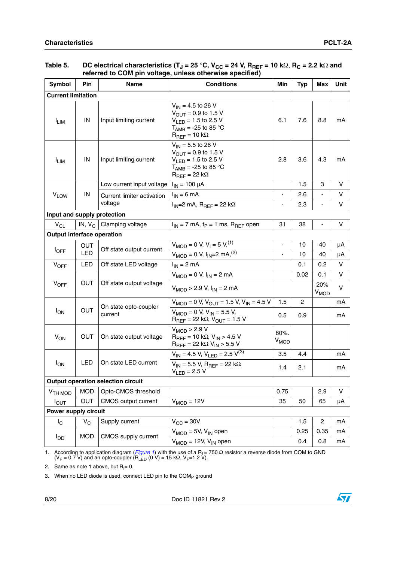| Symbol                                   | Pin                                       | Name                                            | <b>Conditions</b>                                                                                                                                  | Min                          | <b>Typ</b>     | Max              | Unit |
|------------------------------------------|-------------------------------------------|-------------------------------------------------|----------------------------------------------------------------------------------------------------------------------------------------------------|------------------------------|----------------|------------------|------|
| <b>Current limitation</b>                |                                           |                                                 |                                                                                                                                                    |                              |                |                  |      |
| <b>ILIM</b>                              | IN                                        | Input limiting current                          | $V_{1N} = 4.5$ to 26 V<br>$V_{\text{OUT}}$ = 0.9 to 1.5 V<br>$V_{LED} = 1.5$ to 2.5 V<br>$T_{\text{AMB}}$ = -25 to 85 °C<br>$R_{REF} = 10 k\Omega$ | 6.1                          | 7.6            | 8.8              | mA   |
| <sup>I</sup> LIM                         | IN                                        | Input limiting current                          | $V_{IN}$ = 5.5 to 26 V<br>$V_{\text{OUT}} = 0.9$ to 1.5 V<br>$V_{LED} = 1.5$ to 2.5 V<br>$T_{\text{AMB}}$ = -25 to 85 °C<br>$R_{REF} = 22 k\Omega$ | 2.8                          | 3.6            | 4.3              | mA   |
|                                          |                                           | Low current input voltage                       | $I_{IN}$ = 100 µA                                                                                                                                  |                              | 1.5            | 3                | V    |
| <b>V<sub>LOW</sub></b>                   | IN                                        | Current limiter activation                      | $I_{IN}$ = 6 mA                                                                                                                                    | ä,                           | 2.6            |                  | v    |
|                                          |                                           | voltage                                         | $I_{IN}$ =2 mA, $R_{REF}$ = 22 k $\Omega$                                                                                                          | $\blacksquare$               | 2.3            | ۰                | V    |
| Input and supply protection              |                                           |                                                 |                                                                                                                                                    |                              |                |                  |      |
| $V_{CL}$                                 | IN, $V_C$                                 | Clamping voltage                                | $I_{IN}$ = 7 mA, t <sub>P</sub> = 1 ms, R <sub>REF</sub> open                                                                                      | 31                           | 38             | $\blacksquare$   | V    |
|                                          | Output interface operation                |                                                 |                                                                                                                                                    |                              |                |                  |      |
| <b>OUT</b><br><b>l</b> OFF<br><b>LED</b> | Off state output current                  | $V_{MOD} = 0$ V, $V_1 = 5 \overline{V_1^{(1)}}$ | ä,                                                                                                                                                 | 10                           | 40             | μA               |      |
|                                          |                                           |                                                 | $V_{MOD} = 0 V, I_{IN} = 2 mA$ , <sup>(2)</sup>                                                                                                    | $\qquad \qquad \blacksquare$ | 10             | 40               | μA   |
| <b>VOFF</b>                              | <b>LED</b>                                | Off state LED voltage                           | $I_{IN} = 2$ mA                                                                                                                                    |                              | 0.1            | 0.2              | V    |
|                                          |                                           |                                                 | $V_{MOD} = 0 V, I_{IN} = 2 mA$                                                                                                                     |                              | 0.02           | 0.1              | v    |
| $V_{OFF}$                                | OUT                                       | Off state output voltage                        | $V_{MOD}$ > 2.9 V, $I_{IN}$ = 2 mA                                                                                                                 |                              |                | 20%<br>$V_{MOD}$ | V    |
|                                          |                                           |                                                 | $V_{MOD} = 0$ V, $V_{OUT} = 1.5$ V, $V_{IN} = 4.5$ V                                                                                               | 1.5                          | $\overline{2}$ |                  | mA   |
| $I_{ON}$                                 | <b>OUT</b>                                | On state opto-coupler<br>current                | $V_{MOD} = 0 V, V_{IN} = 5.5 V,$<br>$R_{REF}$ = 22 kΩ, $V_{OUT}$ = 1.5 V                                                                           | 0.5                          | 0.9            |                  | mA   |
| $V_{ON}$                                 | OUT                                       | On state output voltage                         | V <sub>MOD</sub> > 2.9 V<br>$R_{\text{BFE}} = 10 \text{ k}\Omega$ , $V_{\text{IN}} > 4.5 \text{ V}$<br>$R_{REF}$ = 22 kΩ V <sub>IN</sub> > 5.5 V   | 80%.<br>$V_{MOD}$            |                |                  |      |
|                                          |                                           |                                                 | $V_{IN}$ = 4.5 V, V <sub>LED</sub> = 2.5 V <sup>(3)</sup>                                                                                          | 3.5                          | 4.4            |                  | mA   |
| $I_{ON}$                                 | LED                                       | On state LED current                            | $V_{IN}$ = 5.5 V, R <sub>RFF</sub> = 22 k $\Omega$<br>$V_{\text{F}}$ = 2.5 V                                                                       | 1.4                          | 2.1            |                  | mA   |
|                                          | <b>Output operation selection circuit</b> |                                                 |                                                                                                                                                    |                              |                |                  |      |
| V <sub>TH MOD</sub>                      | <b>MOD</b>                                | Opto-CMOS threshold                             |                                                                                                                                                    | 0.75                         |                | 2.9              | V    |
| Ι <sub>Ουτ</sub>                         | OUT                                       | CMOS output current                             | $V_{MOD} = 12V$                                                                                                                                    | 35                           | 50             | 65               | μA   |
| Power supply circuit                     |                                           |                                                 |                                                                                                                                                    |                              |                |                  |      |
| $I_{\rm C}$                              | $V_C$                                     | Supply current                                  | $V_{\text{CC}} = 30V$                                                                                                                              |                              | 1.5            | $\overline{c}$   | mA   |
|                                          |                                           | CMOS supply current                             | $V_{MOD} = 5V$ , $V_{IN}$ open                                                                                                                     |                              | 0.25           | 0.35             | mA   |
| $I_{DD}$                                 | <b>MOD</b>                                |                                                 | $V_{MOD} = 12V$ , $V_{IN}$ open                                                                                                                    |                              | 0.4            | 0.8              | mA   |

#### **Table 5. DC electrical characteristics (TJ = 25 °C, VCC = 24 V, RREF = 10 k**Ω, **RC = 2.2 k**Ω **and referred to COM pin voltage, unless otherwise specified)**

1. According to application diagram (*[Figure 1](#page-2-3)*) with the use of a R<sub>I</sub> = 750 Ω resistor a reverse diode from COM to GND (V<sub>F</sub> = 0.7 V) and an opto-coupler (R<sub>LED</sub> (0 V) = 15 kΩ, V<sub>F</sub>=1.2 V).

2. Same as note 1 above, but  $R_1 = 0$ .

3. When no LED diode is used, connect LED pin to the  $COM<sub>P</sub>$  ground

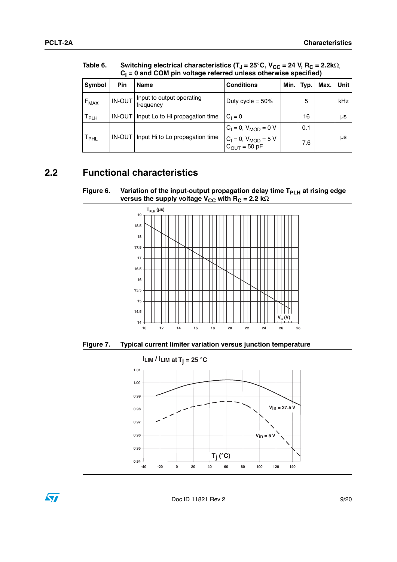$\sqrt{2}$ 

|                             | $C_1 = 0$ and COM pin voltage referred unless otherwise specified) |                                        |                                                  |      |      |      |      |  |
|-----------------------------|--------------------------------------------------------------------|----------------------------------------|--------------------------------------------------|------|------|------|------|--|
| Symbol                      | Pin                                                                | <b>Name</b>                            | <b>Conditions</b>                                | Min. | Typ. | Max. | Unit |  |
| $F_{MAX}$                   | IN-OUT                                                             | Input to output operating<br>frequency | Duty cycle = $50\%$                              |      | 5    |      | kHz  |  |
| $\mathsf{T}_{\mathsf{PLH}}$ | IN-OUT                                                             | Input Lo to Hi propagation time        | $C_1 = 0$                                        |      | 16   |      | μs   |  |
|                             |                                                                    |                                        | $C_1 = 0$ , $V_{MOD} = 0$ V                      |      | 0.1  |      |      |  |
| $\mathsf{T}_{\mathsf{PHL}}$ | <b>IN-OUT</b>                                                      | Input Hi to Lo propagation time        | $C_1 = 0$ , $V_{MOD} = 5$ V<br>$C_{OUT} = 50$ pF |      | 7.6  |      | μs   |  |

Table 6. Table 6. Switching electrical characteristics (T<sub>J</sub> = 25°C, V<sub>CC</sub> = 24 V, R<sub>C</sub> = 2.2kΩ, **CI = 0 and COM pin voltage referred unless otherwise specified)**

## <span id="page-8-0"></span>**2.2 Functional characteristics**





**Figure 7. Typical current limiter variation versus junction temperature**

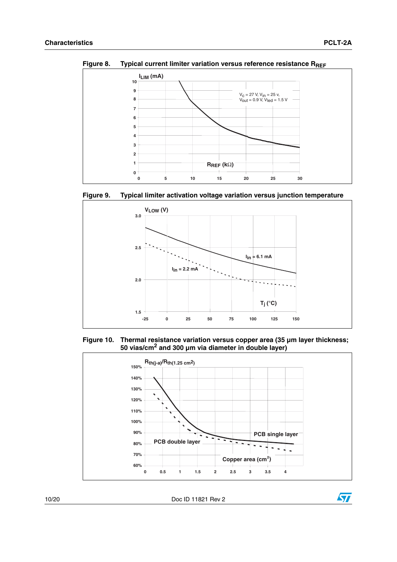

Figure 8. Typical current limiter variation versus reference resistance R<sub>REF</sub>





**Figure 10. Thermal resistance variation versus copper area (35 µm layer thickness; 50 vias/cm2 and 300 µm via diameter in double layer)**



10/20 Doc ID 11821 Rev 2

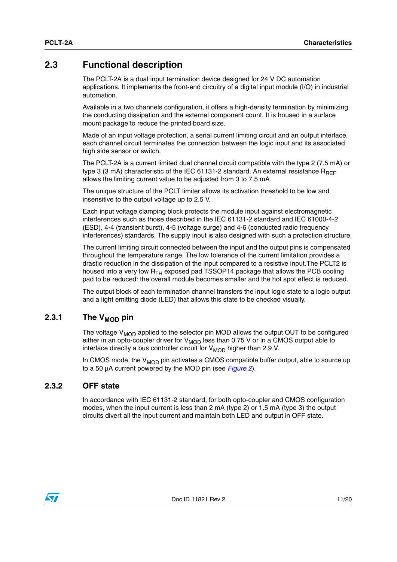### <span id="page-10-0"></span>**2.3 Functional description**

The PCLT-2A is a dual input termination device designed for 24 V DC automation applications. It implements the front-end circuitry of a digital input module (I/O) in industrial automation.

Available in a two channels configuration, it offers a high-density termination by minimizing the conducting dissipation and the external component count. It is housed in a surface mount package to reduce the printed board size.

Made of an input voltage protection, a serial current limiting circuit and an output interface, each channel circuit terminates the connection between the logic input and its associated high side sensor or switch.

The PCLT-2A is a current limited dual channel circuit compatible with the type 2 (7.5 mA) or type 3 (3 mA) characteristic of the IEC 61131-2 standard. An external resistance  $R_{BEF}$ allows the limiting current value to be adjusted from 3 to 7.5 mA.

The unique structure of the PCLT limiter allows its activation threshold to be low and insensitive to the output voltage up to 2.5 V.

Each input voltage clamping block protects the module input against electromagnetic interferences such as those described in the IEC 61131-2 standard and IEC 61000-4-2 (ESD), 4-4 (transient burst), 4-5 (voltage surge) and 4-6 (conducted radio frequency interferences) standards. The supply input is also designed with such a protection structure.

The current limiting circuit connected between the input and the output pins is compensated throughout the temperature range. The low tolerance of the current limitation provides a drastic reduction in the dissipation of the input compared to a resistive input.The PCLT2 is housed into a very low  $R_{TH}$  exposed pad TSSOP14 package that allows the PCB cooling pad to be reduced: the overall module becomes smaller and the hot spot effect is reduced.

The output block of each termination channel transfers the input logic state to a logic output and a light emitting diode (LED) that allows this state to be checked visually.

#### <span id="page-10-1"></span>2.3.1 The  $V_{MOD}$  pin

The voltage  $V_{MOD}$  applied to the selector pin MOD allows the output OUT to be configured either in an opto-coupler driver for  $V_{MOD}$  less than 0.75 V or in a CMOS output able to interface directly a bus controller circuit for  $V_{\text{MOD}}$  higher than 2.9 V.

In CMOS mode, the  $V_{MOD}$  pin activates a CMOS compatible buffer output, able to source up to a 50 µA current powered by the MOD pin (see *[Figure 2](#page-3-0)*).

#### <span id="page-10-2"></span>**2.3.2 OFF state**

In accordance with IEC 61131-2 standard, for both opto-coupler and CMOS configuration modes, when the input current is less than 2 mA (type 2) or 1.5 mA (type 3) the output circuits divert all the input current and maintain both LED and output in OFF state.

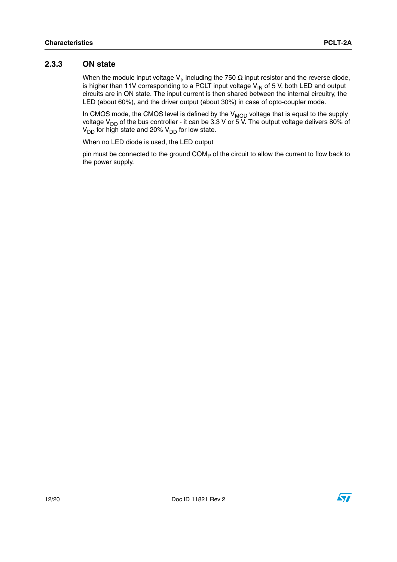#### <span id="page-11-0"></span>**2.3.3 ON state**

When the module input voltage V<sub>I</sub>, including the 750  $\Omega$  input resistor and the reverse diode, is higher than 11V corresponding to a PCLT input voltage  $V_{IN}$  of 5 V, both LED and output circuits are in ON state. The input current is then shared between the internal circuitry, the LED (about 60%), and the driver output (about 30%) in case of opto-coupler mode.

In CMOS mode, the CMOS level is defined by the  $\rm{V_{MOD}}$  voltage that is equal to the supply voltage V<sub>DD</sub> of the bus controller - it can be 3.3 V or 5 V. The output voltage delivers 80% of  $V_{DD}$  for high state and 20%  $V_{DD}$  for low state.

When no LED diode is used, the LED output

pin must be connected to the ground COM<sub>P</sub> of the circuit to allow the current to flow back to the power supply.

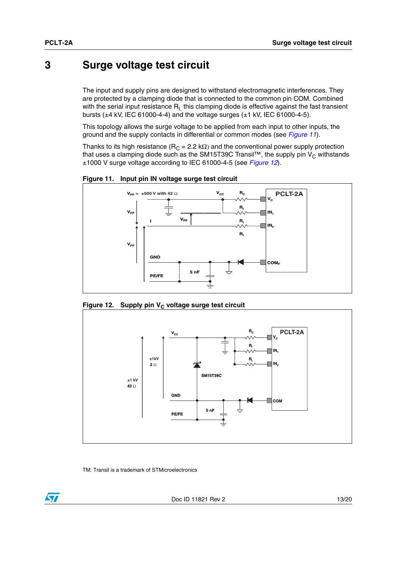## <span id="page-12-0"></span>**3 Surge voltage test circuit**

The input and supply pins are designed to withstand electromagnetic interferences. They are protected by a clamping diode that is connected to the common pin COM. Combined with the serial input resistance  $R<sub>L</sub>$  this clamping diode is effective against the fast transient bursts (±4 kV, IEC 61000-4-4) and the voltage surges (±1 kV, IEC 61000-4-5).

This topology allows the surge voltage to be applied from each input to other inputs, the ground and the supply contacts in differential or common modes (see *[Figure 11](#page-12-1)*).

Thanks to its high resistance ( $R_C = 2.2$  kΩ) and the conventional power supply protection that uses a clamping diode such as the SM15T39C Transil™, the supply pin  $V_C$  withstands ±1000 V surge voltage according to IEC 61000-4-5 (see *[Figure 12](#page-12-2)*).

<span id="page-12-1"></span>**Figure 11. Input pin IN voltage surge test circuit**



<span id="page-12-2"></span>Figure 12. Supply pin V<sub>c</sub> voltage surge test circuit



TM: Transil is a trademark of STMicroelectronics

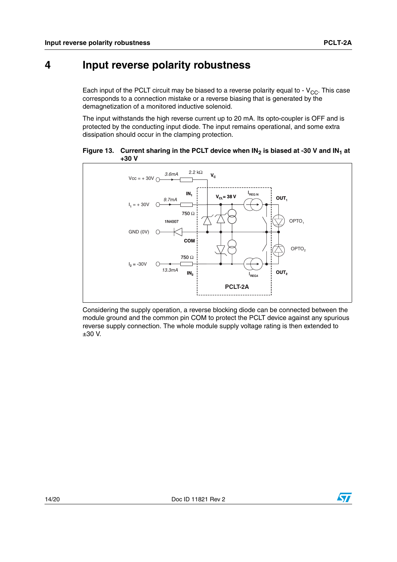# <span id="page-13-0"></span>**4 Input reverse polarity robustness**

Each input of the PCLT circuit may be biased to a reverse polarity equal to -  $V_{CC}$ . This case corresponds to a connection mistake or a reverse biasing that is generated by the demagnetization of a monitored inductive solenoid.

The input withstands the high reverse current up to 20 mA. Its opto-coupler is OFF and is protected by the conducting input diode. The input remains operational, and some extra dissipation should occur in the clamping protection.

<span id="page-13-1"></span>



Considering the supply operation, a reverse blocking diode can be connected between the module ground and the common pin COM to protect the PCLT device against any spurious reverse supply connection. The whole module supply voltage rating is then extended to ±30 V.

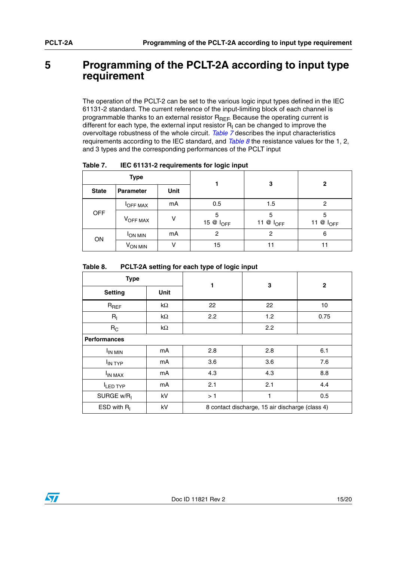## <span id="page-14-0"></span>**5 Programming of the PCLT-2A according to input type requirement**

The operation of the PCLT-2 can be set to the various logic input types defined in the IEC 61131-2 standard. The current reference of the input-limiting block of each channel is programmable thanks to an external resistor  $R_{REF}$  Because the operating current is different for each type, the external input resistor  $R_1$  can be changed to improve the overvoltage robustness of the whole circuit. *[Table 7](#page-14-1)* describes the input characteristics requirements according to the IEC standard, and *[Table 8](#page-14-2)* the resistance values for the 1, 2, and 3 types and the corresponding performances of the PCLT input

|              | <b>Type</b>         |               |                            | 3                     | 2                     |  |
|--------------|---------------------|---------------|----------------------------|-----------------------|-----------------------|--|
| <b>State</b> | <b>Parameter</b>    | Unit          |                            |                       |                       |  |
|              | <b>IOFF MAX</b>     | mA            | 0.5                        | 1.5                   | 2                     |  |
| <b>OFF</b>   | VOFF MAX            | v             | 5<br>15 @ I <sub>OFF</sub> | 5<br>11 $@$ $I_{OFF}$ | 5<br>11 $@$ $I_{OFF}$ |  |
|              | <b>JON MIN</b>      | mA            | 2                          | 2                     | 6                     |  |
| ON           | V <sub>ON MIN</sub> | $\mathcal{L}$ | 15                         | 11                    |                       |  |

<span id="page-14-1"></span>Table 7. **IEC 61131-2 requirements for logic input** 

#### <span id="page-14-2"></span>Table 8. PCLT-2A setting for each type of logic input

| <b>Type</b>            |            | 1   | 3                                               | $\mathbf{2}$ |
|------------------------|------------|-----|-------------------------------------------------|--------------|
| <b>Setting</b>         | Unit       |     |                                                 |              |
| $R_{REF}$              | $k\Omega$  | 22  | 22                                              | 10           |
| $R_{I}$                | k $\Omega$ | 2.2 | 1.2                                             | 0.75         |
| $R_C$                  | $k\Omega$  |     | 2.2                                             |              |
| <b>Performances</b>    |            |     |                                                 |              |
| <b>IN MIN</b>          | mA         | 2.8 | 2.8                                             | 6.1          |
| I <sub>IN TYP</sub>    | mA         | 3.6 | 3.6                                             | 7.6          |
| I <sub>IN MAX</sub>    | mA         | 4.3 | 4.3                                             | 8.8          |
| LED TYP                | mA         | 2.1 | 2.1                                             | 4.4          |
| SURGE w/R <sub>I</sub> | kV         | >1  | 1                                               | 0.5          |
| ESD with $R1$          | kV         |     | 8 contact discharge, 15 air discharge (class 4) |              |

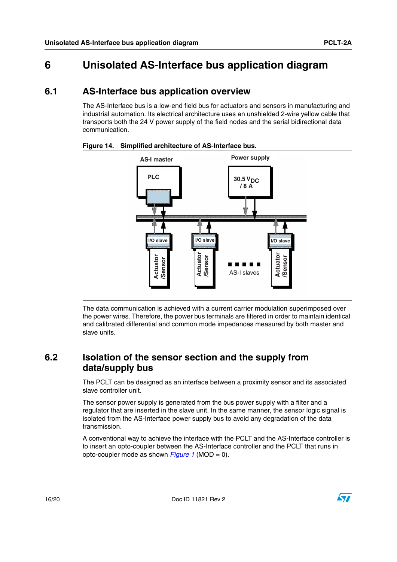# <span id="page-15-0"></span>**6 Unisolated AS-Interface bus application diagram**

### <span id="page-15-1"></span>**6.1 AS-Interface bus application overview**

The AS-Interface bus is a low-end field bus for actuators and sensors in manufacturing and industrial automation. Its electrical architecture uses an unshielded 2-wire yellow cable that transports both the 24 V power supply of the field nodes and the serial bidirectional data communication.



**Figure 14. Simplified architecture of AS-Interface bus.** 

The data communication is achieved with a current carrier modulation superimposed over the power wires. Therefore, the power bus terminals are filtered in order to maintain identical and calibrated differential and common mode impedances measured by both master and slave units.

## <span id="page-15-2"></span>**6.2 Isolation of the sensor section and the supply from data/supply bus**

The PCLT can be designed as an interface between a proximity sensor and its associated slave controller unit.

The sensor power supply is generated from the bus power supply with a filter and a regulator that are inserted in the slave unit. In the same manner, the sensor logic signal is isolated from the AS-Interface power supply bus to avoid any degradation of the data transmission.

A conventional way to achieve the interface with the PCLT and the AS-Interface controller is to insert an opto-coupler between the AS-Interface controller and the PCLT that runs in opto-coupler mode as shown *[Figure 1](#page-2-3)* (MOD = 0).

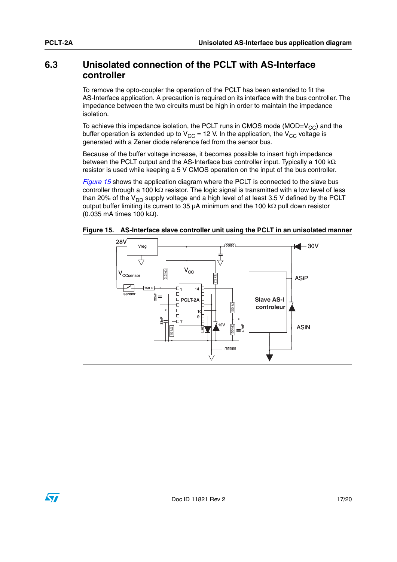#### <span id="page-16-0"></span>**6.3 Unisolated connection of the PCLT with AS-Interface controller**

To remove the opto-coupler the operation of the PCLT has been extended to fit the AS-Interface application. A precaution is required on its interface with the bus controller. The impedance between the two circuits must be high in order to maintain the impedance isolation.

To achieve this impedance isolation, the PCLT runs in CMOS mode (MOD= $V_{CC}$ ) and the buffer operation is extended up to  $V_{CC}$  = 12 V. In the application, the  $V_{CC}$  voltage is generated with a Zener diode reference fed from the sensor bus.

Because of the buffer voltage increase, it becomes possible to insert high impedance between the PCLT output and the AS-Interface bus controller input. Typically a 100 kΩ resistor is used while keeping a 5 V CMOS operation on the input of the bus controller.

*[Figure 15](#page-16-1)* shows the application diagram where the PCLT is connected to the slave bus controller through a 100 kΩ resistor. The logic signal is transmitted with a low level of less than 20% of the  $V_{DD}$  supply voltage and a high level of at least 3.5 V defined by the PCLT output buffer limiting its current to 35 µA minimum and the 100 kΩ pull down resistor (0.035 mA times 100 kΩ).



<span id="page-16-1"></span>**Figure 15. AS-Interface slave controller unit using the PCLT in an unisolated manner**

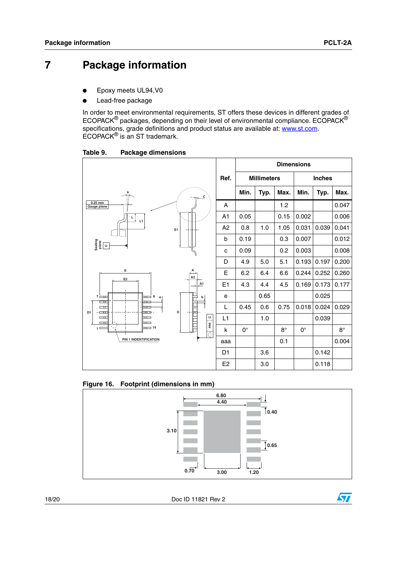# **7 Package information**

- Epoxy meets UL94, V0
- Lead-free package

In order to meet environmental requirements, ST offers these devices in different grades of ECOPACK® packages, depending on their level of environmental compliance. ECOPACK® specifications, grade definitions and product status are available at: **www.st.com**. ECOPACK® is an ST trademark.

Table 9. **Package dimensions** 



**Figure 16. Footprint (dimensions in mm)**



18/20 Doc ID 11821 Rev 2

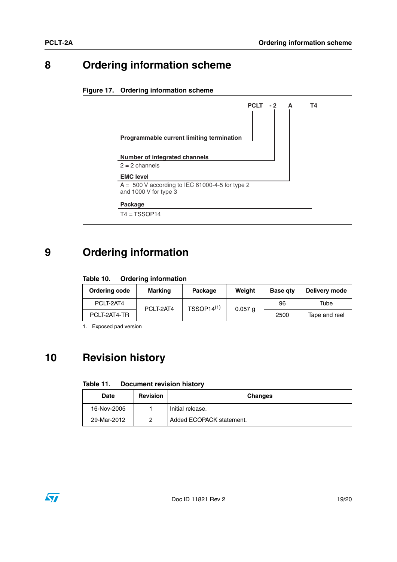# <span id="page-18-0"></span>**8 Ordering information scheme**





# <span id="page-18-1"></span>**9 Ordering information**

#### Table 10. **Ordering information**

| Ordering code | Marking   | Package         | Weight    | <b>Base gty</b> | Delivery mode |
|---------------|-----------|-----------------|-----------|-----------------|---------------|
| PCLT-2AT4     | PCLT-2AT4 | $TSSOP14^{(1)}$ | $0.057$ a | 96              | Tube          |
| PCLT-2AT4-TR  |           |                 |           | 2500            | Tape and reel |

1. Exposed pad version

# <span id="page-18-2"></span>**10 Revision history**

#### Table 11. **Document revision history**

| Date        | <b>Revision</b> | <b>Changes</b>           |
|-------------|-----------------|--------------------------|
| 16-Nov-2005 |                 | Initial release.         |
| 29-Mar-2012 |                 | Added ECOPACK statement. |

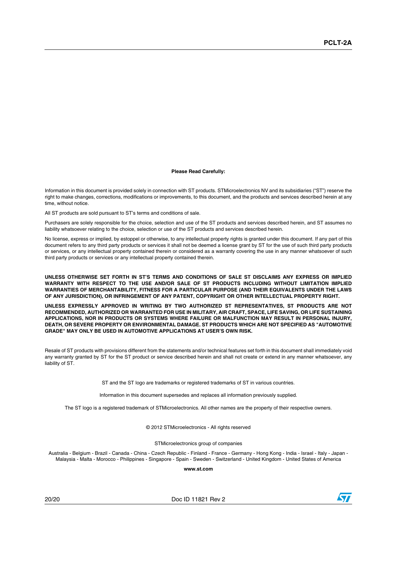#### **Please Read Carefully:**

Information in this document is provided solely in connection with ST products. STMicroelectronics NV and its subsidiaries ("ST") reserve the right to make changes, corrections, modifications or improvements, to this document, and the products and services described herein at any time, without notice.

All ST products are sold pursuant to ST's terms and conditions of sale.

Purchasers are solely responsible for the choice, selection and use of the ST products and services described herein, and ST assumes no liability whatsoever relating to the choice, selection or use of the ST products and services described herein.

No license, express or implied, by estoppel or otherwise, to any intellectual property rights is granted under this document. If any part of this document refers to any third party products or services it shall not be deemed a license grant by ST for the use of such third party products or services, or any intellectual property contained therein or considered as a warranty covering the use in any manner whatsoever of such third party products or services or any intellectual property contained therein.

**UNLESS OTHERWISE SET FORTH IN ST'S TERMS AND CONDITIONS OF SALE ST DISCLAIMS ANY EXPRESS OR IMPLIED WARRANTY WITH RESPECT TO THE USE AND/OR SALE OF ST PRODUCTS INCLUDING WITHOUT LIMITATION IMPLIED WARRANTIES OF MERCHANTABILITY, FITNESS FOR A PARTICULAR PURPOSE (AND THEIR EQUIVALENTS UNDER THE LAWS OF ANY JURISDICTION), OR INFRINGEMENT OF ANY PATENT, COPYRIGHT OR OTHER INTELLECTUAL PROPERTY RIGHT.**

**UNLESS EXPRESSLY APPROVED IN WRITING BY TWO AUTHORIZED ST REPRESENTATIVES, ST PRODUCTS ARE NOT RECOMMENDED, AUTHORIZED OR WARRANTED FOR USE IN MILITARY, AIR CRAFT, SPACE, LIFE SAVING, OR LIFE SUSTAINING APPLICATIONS, NOR IN PRODUCTS OR SYSTEMS WHERE FAILURE OR MALFUNCTION MAY RESULT IN PERSONAL INJURY, DEATH, OR SEVERE PROPERTY OR ENVIRONMENTAL DAMAGE. ST PRODUCTS WHICH ARE NOT SPECIFIED AS "AUTOMOTIVE GRADE" MAY ONLY BE USED IN AUTOMOTIVE APPLICATIONS AT USER'S OWN RISK.**

Resale of ST products with provisions different from the statements and/or technical features set forth in this document shall immediately void any warranty granted by ST for the ST product or service described herein and shall not create or extend in any manner whatsoever, any liability of ST.

ST and the ST logo are trademarks or registered trademarks of ST in various countries.

Information in this document supersedes and replaces all information previously supplied.

The ST logo is a registered trademark of STMicroelectronics. All other names are the property of their respective owners.

© 2012 STMicroelectronics - All rights reserved

STMicroelectronics group of companies

Australia - Belgium - Brazil - Canada - China - Czech Republic - Finland - France - Germany - Hong Kong - India - Israel - Italy - Japan - Malaysia - Malta - Morocco - Philippines - Singapore - Spain - Sweden - Switzerland - United Kingdom - United States of America

**www.st.com**

20/20 Doc ID 11821 Rev 2